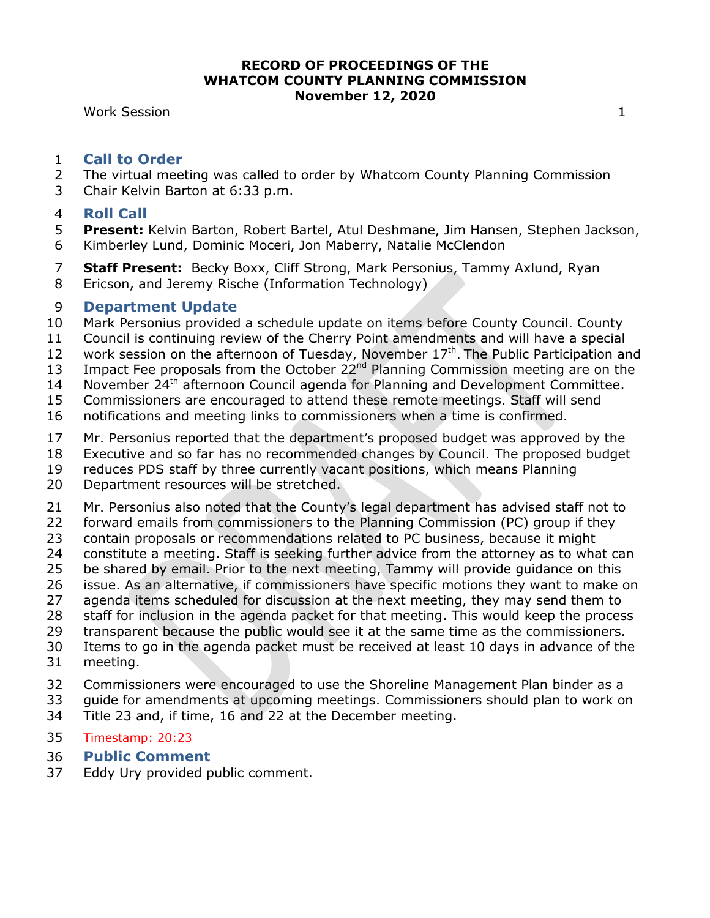Work Session 1

## **Call to Order**

- The virtual meeting was called to order by Whatcom County Planning Commission
- Chair Kelvin Barton at 6:33 p.m.

# **Roll Call**

- **Present:** Kelvin Barton, Robert Bartel, Atul Deshmane, Jim Hansen, Stephen Jackson, Kimberley Lund, Dominic Moceri, Jon Maberry, Natalie McClendon
- **Staff Present:** Becky Boxx, Cliff Strong, Mark Personius, Tammy Axlund, Ryan Ericson, and Jeremy Rische (Information Technology)
- 

# **Department Update**

- Mark Personius provided a schedule update on items before County Council. County
- Council is continuing review of the Cherry Point amendments and will have a special
- 12 work session on the afternoon of Tuesday, November  $17<sup>th</sup>$ . The Public Participation and
- 13 Impact Fee proposals from the October 22<sup>nd</sup> Planning Commission meeting are on the
- 14 November 24<sup>th</sup> afternoon Council agenda for Planning and Development Committee.
- Commissioners are encouraged to attend these remote meetings. Staff will send
- notifications and meeting links to commissioners when a time is confirmed.
- Mr. Personius reported that the department's proposed budget was approved by the
- Executive and so far has no recommended changes by Council. The proposed budget
- reduces PDS staff by three currently vacant positions, which means Planning
- Department resources will be stretched.
- Mr. Personius also noted that the County's legal department has advised staff not to
- forward emails from commissioners to the Planning Commission (PC) group if they
- contain proposals or recommendations related to PC business, because it might
- constitute a meeting. Staff is seeking further advice from the attorney as to what can
- be shared by email. Prior to the next meeting, Tammy will provide guidance on this
- issue. As an alternative, if commissioners have specific motions they want to make on
- agenda items scheduled for discussion at the next meeting, they may send them to
- staff for inclusion in the agenda packet for that meeting. This would keep the process
- transparent because the public would see it at the same time as the commissioners.
- Items to go in the agenda packet must be received at least 10 days in advance of the
- meeting.
- Commissioners were encouraged to use the Shoreline Management Plan binder as a
- guide for amendments at upcoming meetings. Commissioners should plan to work on
- Title 23 and, if time, 16 and 22 at the December meeting.
- Timestamp: 20:23
- **Public Comment**
- Eddy Ury provided public comment.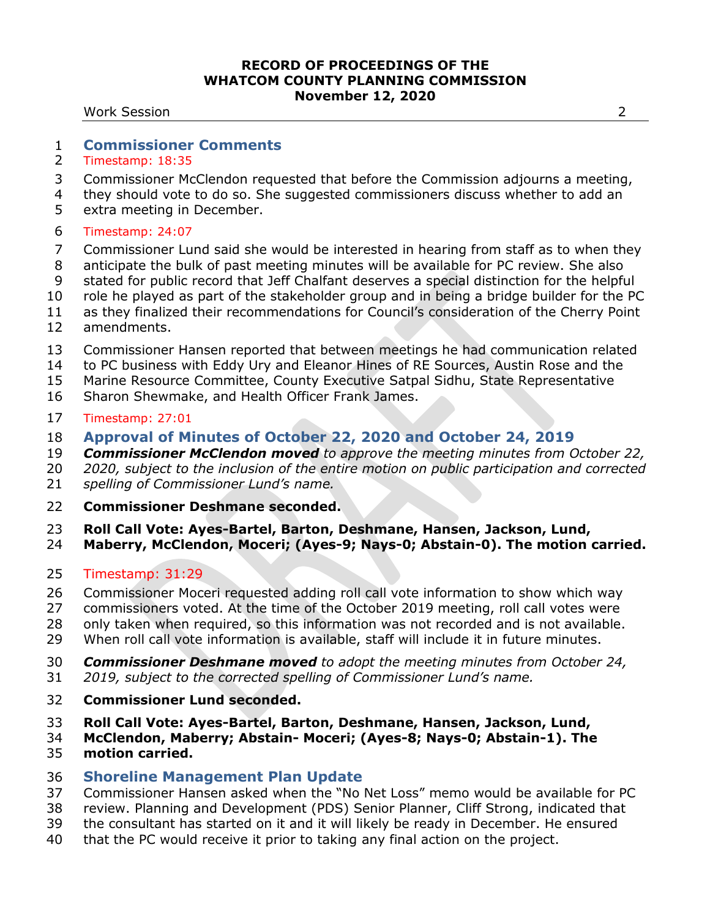Work Session 2

# **Commissioner Comments**

- Timestamp: 18:35
- Commissioner McClendon requested that before the Commission adjourns a meeting,
- they should vote to do so. She suggested commissioners discuss whether to add an
- extra meeting in December.
- Timestamp: 24:07
- Commissioner Lund said she would be interested in hearing from staff as to when they
- anticipate the bulk of past meeting minutes will be available for PC review. She also
- stated for public record that Jeff Chalfant deserves a special distinction for the helpful
- role he played as part of the stakeholder group and in being a bridge builder for the PC
- 11 as they finalized their recommendations for Council's consideration of the Cherry Point
- amendments.
- Commissioner Hansen reported that between meetings he had communication related
- to PC business with Eddy Ury and Eleanor Hines of RE Sources, Austin Rose and the
- Marine Resource Committee, County Executive Satpal Sidhu, State Representative
- Sharon Shewmake, and Health Officer Frank James.

## Timestamp: 27:01

- **Approval of Minutes of October 22, 2020 and October 24, 2019**
- *Commissioner McClendon moved to approve the meeting minutes from October 22,*
- *2020, subject to the inclusion of the entire motion on public participation and corrected*
- *spelling of Commissioner Lund's name.*
- **Commissioner Deshmane seconded.**
- **Roll Call Vote: Ayes-Bartel, Barton, Deshmane, Hansen, Jackson, Lund,**
- **Maberry, McClendon, Moceri; (Ayes-9; Nays-0; Abstain-0). The motion carried.**
- Timestamp: 31:29
- Commissioner Moceri requested adding roll call vote information to show which way
- commissioners voted. At the time of the October 2019 meeting, roll call votes were
- only taken when required, so this information was not recorded and is not available.
- When roll call vote information is available, staff will include it in future minutes.
- *Commissioner Deshmane moved to adopt the meeting minutes from October 24,*
- *2019, subject to the corrected spelling of Commissioner Lund's name.*
- **Commissioner Lund seconded.**
- **Roll Call Vote: Ayes-Bartel, Barton, Deshmane, Hansen, Jackson, Lund,**
- **McClendon, Maberry; Abstain- Moceri; (Ayes-8; Nays-0; Abstain-1). The motion carried.**
- **Shoreline Management Plan Update**
- Commissioner Hansen asked when the "No Net Loss" memo would be available for PC
- review. Planning and Development (PDS) Senior Planner, Cliff Strong, indicated that
- the consultant has started on it and it will likely be ready in December. He ensured
- that the PC would receive it prior to taking any final action on the project.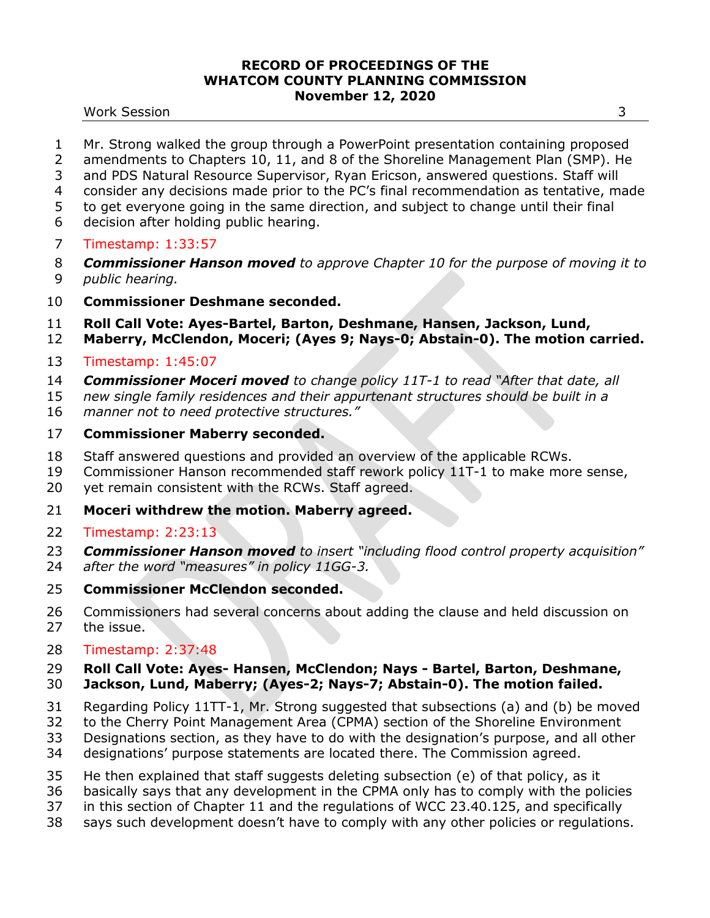#### Work Session 3

- Mr. Strong walked the group through a PowerPoint presentation containing proposed
- amendments to Chapters 10, 11, and 8 of the Shoreline Management Plan (SMP). He
- and PDS Natural Resource Supervisor, Ryan Ericson, answered questions. Staff will
- consider any decisions made prior to the PC's final recommendation as tentative, made
- to get everyone going in the same direction, and subject to change until their final
- decision after holding public hearing.
- Timestamp: 1:33:57
- *Commissioner Hanson moved to approve Chapter 10 for the purpose of moving it to*
- *public hearing.*
- **Commissioner Deshmane seconded.**
- **Roll Call Vote: Ayes-Bartel, Barton, Deshmane, Hansen, Jackson, Lund,**
- **Maberry, McClendon, Moceri; (Ayes 9; Nays-0; Abstain-0). The motion carried.**
- Timestamp: 1:45:07
- *Commissioner Moceri moved to change policy 11T-1 to read "After that date, all*
- *new single family residences and their appurtenant structures should be built in a*
- *manner not to need protective structures."*

# **Commissioner Maberry seconded.**

- Staff answered questions and provided an overview of the applicable RCWs.
- Commissioner Hanson recommended staff rework policy 11T-1 to make more sense,
- yet remain consistent with the RCWs. Staff agreed.
- **Moceri withdrew the motion. Maberry agreed.**
- Timestamp: 2:23:13
- *Commissioner Hanson moved to insert "including flood control property acquisition"*
- *after the word "measures" in policy 11GG-3.*
- **Commissioner McClendon seconded.**
- Commissioners had several concerns about adding the clause and held discussion on the issue.
- Timestamp: 2:37:48

# **Roll Call Vote: Ayes- Hansen, McClendon; Nays - Bartel, Barton, Deshmane,**

- **Jackson, Lund, Maberry; (Ayes-2; Nays-7; Abstain-0). The motion failed.**
- Regarding Policy 11TT-1, Mr. Strong suggested that subsections (a) and (b) be moved
- to the Cherry Point Management Area (CPMA) section of the Shoreline Environment
- Designations section, as they have to do with the designation's purpose, and all other
- designations' purpose statements are located there. The Commission agreed.
- He then explained that staff suggests deleting subsection (e) of that policy, as it
- basically says that any development in the CPMA only has to comply with the policies
- in this section of Chapter 11 and the regulations of WCC 23.40.125, and specifically
- says such development doesn't have to comply with any other policies or regulations.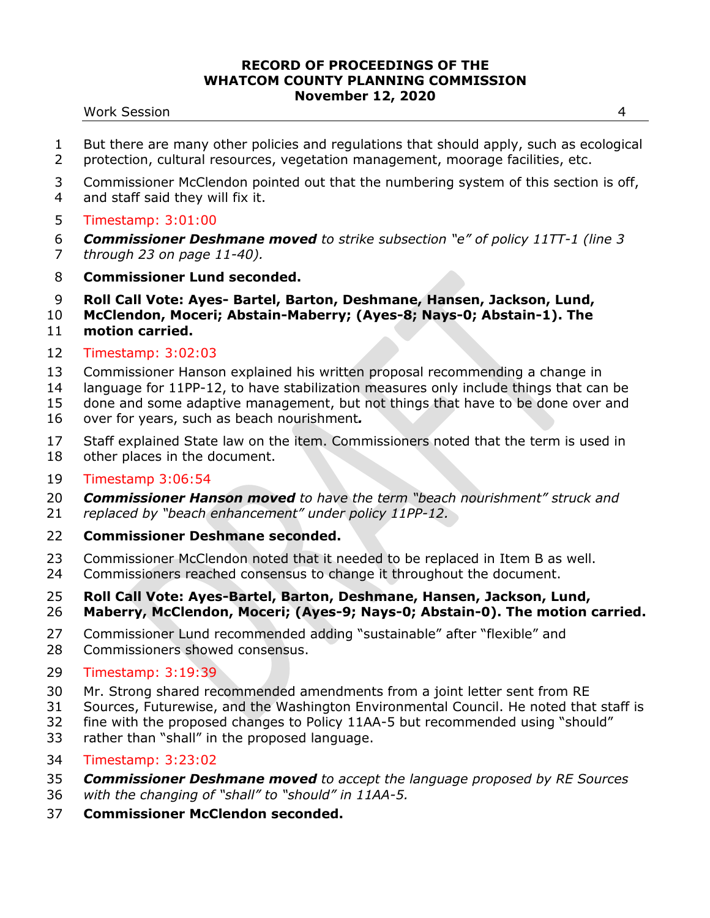#### Work Session 4

- But there are many other policies and regulations that should apply, such as ecological protection, cultural resources, vegetation management, moorage facilities, etc.
- Commissioner McClendon pointed out that the numbering system of this section is off,
- and staff said they will fix it.
- Timestamp: 3:01:00
- *Commissioner Deshmane moved to strike subsection "e" of policy 11TT-1 (line 3*
- *through 23 on page 11-40).*
- **Commissioner Lund seconded.**
- **Roll Call Vote: Ayes- Bartel, Barton, Deshmane, Hansen, Jackson, Lund,**
- **McClendon, Moceri; Abstain-Maberry; (Ayes-8; Nays-0; Abstain-1). The**
- **motion carried.**
- Timestamp: 3:02:03
- Commissioner Hanson explained his written proposal recommending a change in
- language for 11PP-12, to have stabilization measures only include things that can be
- done and some adaptive management, but not things that have to be done over and
- over for years, such as beach nourishment*.*
- Staff explained State law on the item. Commissioners noted that the term is used in other places in the document.
- Timestamp 3:06:54
- *Commissioner Hanson moved to have the term "beach nourishment" struck and*
- *replaced by "beach enhancement" under policy 11PP-12.*
- **Commissioner Deshmane seconded.**
- Commissioner McClendon noted that it needed to be replaced in Item B as well.
- Commissioners reached consensus to change it throughout the document.
- **Roll Call Vote: Ayes-Bartel, Barton, Deshmane, Hansen, Jackson, Lund,**
- **Maberry, McClendon, Moceri; (Ayes-9; Nays-0; Abstain-0). The motion carried.**
- Commissioner Lund recommended adding "sustainable" after "flexible" and Commissioners showed consensus.
- Timestamp: 3:19:39
- Mr. Strong shared recommended amendments from a joint letter sent from RE
- Sources, Futurewise, and the Washington Environmental Council. He noted that staff is
- fine with the proposed changes to Policy 11AA-5 but recommended using "should"
- rather than "shall" in the proposed language.
- Timestamp: 3:23:02
- *Commissioner Deshmane moved to accept the language proposed by RE Sources*
- *with the changing of "shall" to "should" in 11AA-5.*
- **Commissioner McClendon seconded.**